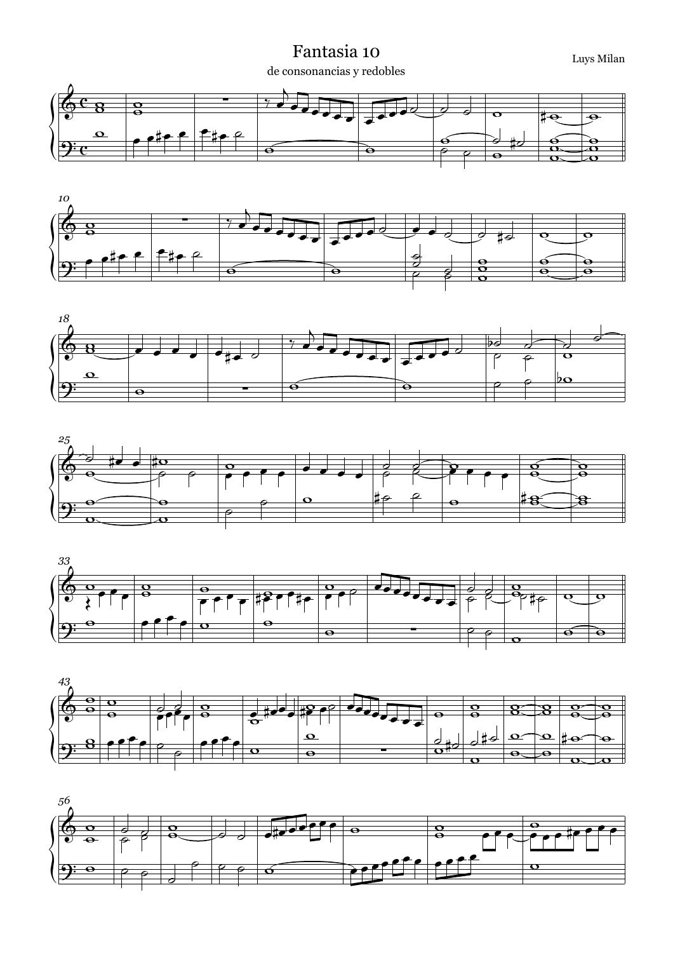## Fantasia 10 Luys Milan de consonancias y redobles